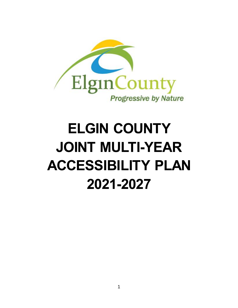

# **ELGIN COUNTY JOINT MULTI-YEAR ACCESSIBILITY PLAN 2021-2027**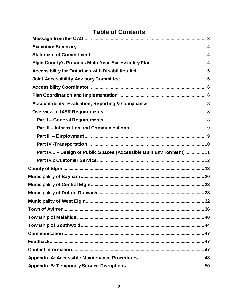# **Table of Contents**

| Part IV.1 - Design of Public Spaces (Accessible Built Environment)  11 |  |
|------------------------------------------------------------------------|--|
|                                                                        |  |
|                                                                        |  |
|                                                                        |  |
|                                                                        |  |
|                                                                        |  |
|                                                                        |  |
|                                                                        |  |
|                                                                        |  |
|                                                                        |  |
|                                                                        |  |
|                                                                        |  |
|                                                                        |  |
|                                                                        |  |
|                                                                        |  |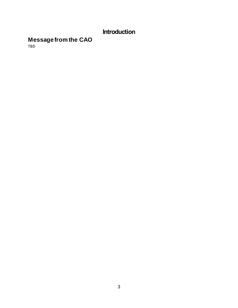# **Introduction**

#### <span id="page-2-0"></span>**Message from the CAO**

TBD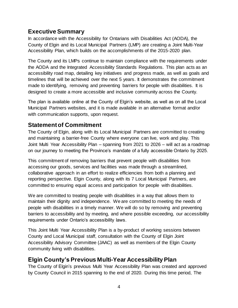# <span id="page-3-0"></span>**Executive Summary**

In accordance with the Accessibility for Ontarians with Disabilities Act (AODA), the County of Elgin and its Local Municipal Partners (LMP) are creating a Joint Multi-Year Accessibility Plan, which builds on the accomplishments of the 2015-2020 plan.

The County and its LMPs continue to maintain compliance with the requirements under the AODA and the Integrated Accessibility Standards Regulations. This plan acts as an accessibility road map, detailing key initiatives and progress made, as well as goals and timelines that will be achieved over the next 5 years. It demonstrates the commitment made to identifying, removing and preventing barriers for people with disabilities. It is designed to create a more accessible and inclusive community across the County.

The plan is available online at the County of Elgin's website, as well as on all the Local Municipal Partners websites, and it is made available in an alternative format and/or with communication supports, upon request.

# <span id="page-3-1"></span>**Statement of Commitment**

The County of Elgin, along with its Local Municipal Partners are committed to creating and maintaining a barrier-free County where everyone can live, work and play. This Joint Multi Year Accessibility Plan – spanning from 2021 to 2026 – will act as a roadmap on our journey to meeting the Province's mandate of a fully accessible Ontario by 2025.

This commitment of removing barriers that prevent people with disabilities from accessing our goods, services and facilities was made through a streamlined, collaborative approach in an effort to realize efficiencies from both a planning and reporting perspective. Elgin County, along with its 7 Local Municipal Partners, are committed to ensuring equal access and participation for people with disabilities.

We are committed to treating people with disabilities in a way that allows them to maintain their dignity and independence. We are committed to meeting the needs of people with disabilities in a timely manner. We will do so by removing and preventing barriers to accessibility and by meeting, and where possible exceeding, our accessibility requirements under Ontario's accessibility laws.

This Joint Multi Year Accessibility Plan is a by-product of working sessions between County and Local Municipal staff, consultation with the County of Elgin Joint Accessibility Advisory Committee (JAAC) as well as members of the Elgin County community living with disabilities.

# <span id="page-3-2"></span>**Elgin County's Previous Multi-Year Accessibility Plan**

The County of Elgin's previous Multi Year Accessibility Plan was created and approved by County Council in 2015 spanning to the end of 2020. During this time period, The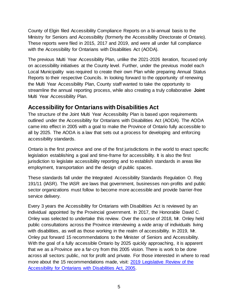County of Elgin filed Accessibility Compliance Reports on a bi-annual basis to the Ministry for Seniors and Accessibility (formerly the Accessibility Directorate of Ontario). These reports were filed in 2015, 2017 and 2019, and were all under full compliance with the Accessibility for Ontarians with Disabilities Act (AODA).

The previous Multi Year Accessibility Plan, unlike the 2021-2026 iteration, focused only on accessibility initiatives at the County level. Further, under the previous model each Local Municipality was required to create their own Plan while preparing Annual Status Reports to their respective Councils. In looking forward to the opportunity of renewing the Multi Year Accessibility Plan, County staff wanted to take the opportunity to streamline the annual reporting process, while also creating a truly collaborative **Joint**  Multi Year Accessibility Plan.

#### <span id="page-4-0"></span>**Accessibility for Ontarians with Disabilities Act**

The structure of the Joint Multi Year Accessibility Plan is based upon requirements outlined under the Accessibility for Ontarians with Disabilities Act (AODA). The AODA came into effect in 2005 with a goal to make the Province of Ontario fully accessible to all by 2025. The AODA is a law that sets out a process for developing and enforcing accessibility standards.

Ontario is the first province and one of the first jurisdictions in the world to enact specific legislation establishing a goal and time-frame for accessibility. It is also the first jurisdiction to legislate accessibility reporting and to establish standards in areas like employment, transportation and the design of public spaces.

These standards fall under the Integrated Accessibility Standards Regulation O. Reg 191/11 (IASR). The IASR are laws that government, businesses non-profits and public sector organizations must follow to become more accessible and provide barrier-free service delivery.

Every 3 years the Accessibility for Ontarians with Disabilities Act is reviewed by an individual appointed by the Provincial government. In 2017, the Honorable David C. Onley was selected to undertake this review. Over the course of 2018, Mr. Onley held public consultations across the Province interviewing a wide array of individuals living with disabilities, as well as those working in the realm of accessibility. In 2019, Mr. Onley put forward 15 recommendations to the Minister of Seniors and Accessibility. With the goal of a fully accessible Ontario by 2025 quickly approaching, it is apparent that we as a Province are a far-cry from this 2005 vision. There is work to be done across all sectors: public, not for profit and private. For those interested in where to read more about the 15 recommendations made, visit: [2019 Legislative Review of the](https://www.ontario.ca/page/2019-legislative-review-accessibility-ontarians-disabilities-act-2005#section-7)  [Accessibility for Ontarians with Disabilities Act, 2005.](https://www.ontario.ca/page/2019-legislative-review-accessibility-ontarians-disabilities-act-2005#section-7)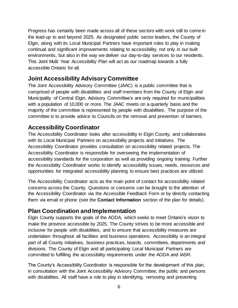Progress has certainly been made across all of these sectors with work still to come in the lead-up to and beyond 2025. As designated public sector leaders, the County of Elgin, along with its Local Municipal Partners have important roles to play in making continual and significant improvements relating to accessibility, not only in our built environments, but also in the way we deliver our day-to-day services to our residents. This Joint Multi Year Accessibility Plan will act as our roadmap towards a fully accessible Ontario for all.

# <span id="page-5-0"></span>**Joint Accessibility Advisory Committee**

The Joint Accessibility Advisory Committee (JAAC) is a public committee that is comprised of people with disabilities and staff members from the County of Elgin and Municipality of Central Elgin. Advisory Committee's are only required for municipalities with a population of 10,000 or more. The JAAC meets on a quarterly basis and the majority of the committee is represented by people with disabilities. The purpose of the committee is to provide advice to Councils on the removal and prevention of barriers.

# <span id="page-5-1"></span>**Accessibility Coordinator**

The Accessibility Coordinator looks after accessibility in Elgin County, and collaborates with its Local Municipal Partners on accessibility projects and initiatives. The Accessibility Coordinator provides consultation on accessibility related projects. The Accessibility Coordinator is responsible for overseeing the implementation of accessibility standards for the corporation as well as providing ongoing training. Further the Accessibility Coordinator works to identify accessibility issues, needs, resources and opportunities for integrated accessibility planning to ensure best practices are utilized.

The Accessibility Coordinator acts as the main point of contact for accessibility related concerns across the County. Questions or concerns can be brought to the attention of the Accessibility Coordinator via the Accessible Feedback Form or by directly contacting them via email or phone (see the **Contact Information** section of the plan for details).

# <span id="page-5-2"></span>**Plan Coordination and Implementation**

Elgin County supports the goals of the AODA, which seeks to meet Ontario's vision to make the province accessible by 2025. The County strives to be more accessible and inclusive for people with disabilities, and to ensure that accessibility measures are undertaken throughout all facilities and business operations. Accessibility is an integral part of all County initiatives, business practices, boards, committees, departments and divisions. The County of Elgin and all participating Local Municipal Partners are committed to fulfilling the accessibility requirements under the AODA and IASR.

The County's Accessibility Coordinator is responsible for the development of this plan, in consultation with the Joint Accessibility Advisory Committee, the public and persons with disabilities. All staff have a role to play in identifying, removing and preventing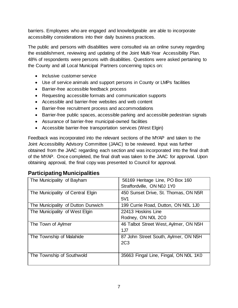barriers. Employees who are engaged and knowledgeable are able to incorporate accessibility considerations into their daily business practices.

The public and persons with disabilities were consulted via an online survey regarding the establishment, reviewing and updating of the Joint Multi-Year Accessibility Plan. 48% of respondents were persons with disabilities. Questions were asked pertaining to the County and all Local Municipal Partners concerning topics on:

- Inclusive customer service
- Use of service animals and support persons in County or LMPs facilities
- Barrier-free accessible feedback process
- Requesting accessible formats and communication supports
- Accessible and barrier-free websites and web content
- Barrier-free recruitment process and accommodations
- Barrier-free public spaces, accessible parking and accessible pedestrian signals
- Assurance of barrier-free municipal-owned facilities
- Accessible barrier-free transportation services (West Elgin)

Feedback was incorporated into the relevant sections of the MYAP and taken to the Joint Accessibility Advisory Committee (JAAC) to be reviewed. Input was further obtained from the JAAC regarding each section and was incorporated into the final draft of the MYAP. Once completed, the final draft was taken to the JAAC for approval. Upon obtaining approval, the final copy was presented to Council for approval.

# **Participating Municipalities**

| The Municipality of Bayham         | 56169 Heritage Line, PO Box 160<br>Straffordville, ON N0J 1Y0 |
|------------------------------------|---------------------------------------------------------------|
| The Municipality of Central Elgin  | 450 Sunset Drive, St. Thomas, ON N5R<br>5V1                   |
| The Municipality of Dutton Dunwich | 199 Currie Road, Dutton, ON NOL 1J0                           |
| The Municipality of West Elgin     | 22413 Hoskins Line<br>Rodney, ON N0L 2C0                      |
| The Town of Aylmer                 | 46 Talbot Street West, Aylmer, ON N5H<br>1J <sub>7</sub>      |
| The Township of Malahide           | 87 John Street South, Aylmer, ON N5H<br>2C <sub>3</sub>       |
| The Township of Southwold          | 35663 Fingal Line, Fingal, ON NOL 1K0                         |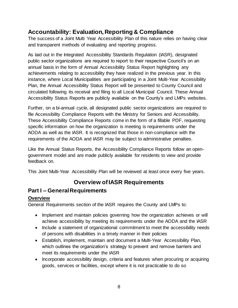# <span id="page-7-0"></span>**Accountability: Evaluation, Reporting & Compliance**

The success of a Joint Multi Year Accessibility Plan of this nature relies on having clear and transparent methods of evaluating and reporting progress.

As laid out in the Integrated Accessibility Standards Regulation (IASR), designated public sector organizations are required to report to their respective Council's on an annual basis in the form of Annual Accessibility Status Report highlighting any achievements relating to accessibility they have realized in the previous year. In this instance, where Local Municipalities are participating in a Joint Multi-Year Accessibility Plan, the Annual Accessibility Status Report will be presented to County Council and circulated following its receival and filing to all Local Municipal Council. These Annual Accessibility Status Reports are publicly available on the County's and LMPs websites.

Further, on a bi-annual cycle, all designated public sector organizations are required to file Accessibility Compliance Reports with the Ministry for Seniors and Accessibility. These Accessibility Compliance Reports come in the form of a fillable PDF, requesting specific information on how the organization is meeting is requirements under the AODA as well as the IASR. It is recognized that those in non-compliance with the requirements of the AODA and IASR may be subject to administrative penalties.

Like the Annual Status Reports, the Accessibility Compliance Reports follow an opengovernment model and are made publicly available for residents to view and provide feedback on.

This Joint Multi-Year Accessibility Plan will be reviewed at least once every five years.

# **Overview of IASR Requirements**

# <span id="page-7-2"></span><span id="page-7-1"></span>**Part I – General Requirements**

#### **Overview**

General Requirements section of the IASR requires the County and LMPs to:

- Implement and maintain policies governing how the organization achieves or will achieve accessibility by meeting its requirements under the AODA and the IASR
- Include a statement of organizational commitment to meet the accessibility needs of persons with disabilities in a timely manner in their policies
- Establish, implement, maintain and document a Multi-Year Accessibility Plan, which outlines the organization's strategy to prevent and remove barriers and meet its requirements under the IASR
- Incorporate accessibility design, criteria and features when procuring or acquiring goods, services or facilities, except where it is not practicable to do so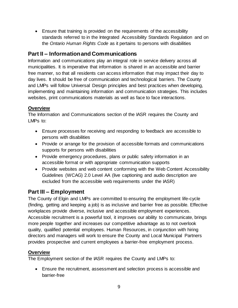• Ensure that training is provided on the requirements of the accessibility standards referred to in the Integrated Accessibility Standards Regulation and on the *Ontario Human Rights Code* as it pertains to persons with disabilities

#### <span id="page-8-0"></span>**Part II – Information and Communications**

Information and communications play an integral role in service delivery across all municipalities. It is imperative that information is shared in an accessible and barrier free manner, so that all residents can access information that may impact their day to day lives. It should be free of communication and technological barriers. The County and LMPs will follow Universal Design principles and best practices when developing, implementing and maintaining information and communication strategies. This includes websites, print communications materials as well as face to face interactions.

#### **Overview**

The Information and Communications section of the IASR requires the County and LMPs to:

- Ensure processes for receiving and responding to feedback are accessible to persons with disabilities
- Provide or arrange for the provision of accessible formats and communications supports for persons with disabilities
- Provide emergency procedures, plans or public safety information in an accessible format or with appropriate communication supports
- Provide websites and web content conforming with the Web Content Accessibility Guidelines (WCAG) 2.0 Level AA (live captioning and audio description are excluded from the accessible web requirements under the IASR)

# <span id="page-8-1"></span>**Part III – Employment**

The County of Elgin and LMPs are committed to ensuring the employment life-cycle (finding, getting and keeping a job) is as inclusive and barrier free as possible. Effective workplaces provide diverse, inclusive and accessible employment experiences. Accessible recruitment is a powerful tool, it improves our ability to communicate, brings more people together and increases our competitive advantage as to not overlook quality, qualified potential employees. Human Resources, in conjunction with hiring directors and managers will work to ensure the County and Local Municipal Partners provides prospective and current employees a barrier-free employment process.

#### **Overview**

The Employment section of the IASR requires the County and LMPs to:

• Ensure the recruitment, assessment and selection process is accessible and barrier-free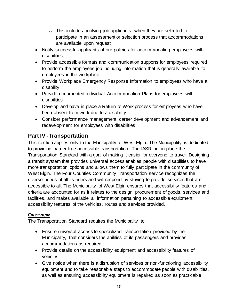- $\circ$  This includes notifying job applicants, when they are selected to participate in an assessment or selection process that accommodations are available upon request
- Notify successful applicants of our policies for accommodating employees with disabilities
- Provide accessible formats and communication supports for employees required to perform the employees job including information that is generally available to employees in the workplace
- Provide Workplace Emergency Response Information to employees who have a disability
- Provide documented Individual Accommodation Plans for employees with disabilities
- Develop and have in place a Return to Work process for employees who have been absent from work due to a disability
- Consider performance management, career development and advancement and redevelopment for employees with disabilities

# <span id="page-9-0"></span>**Part IV -Transportation**

This section applies only to the Municipality of West Elgin. The Municipality is dedicated to providing barrier free accessible transportation. The IASR put in place the Transportation Standard with a goal of making it easier for everyone to travel. Designing a transit system that provides universal access enables people with disabilities to have more transportation options and allows them to fully participate in the community of West Elgin. The Four Counties Community Transportation service recognizes the diverse needs of all its riders and will respond by striving to provide services that are accessible to all. The Municipality of West Elgin ensures that accessibility features and criteria are accounted for as it relates to the design, procurement of goods, services and facilities, and makes available all information pertaining to accessible equipment, accessibility features of the vehicles, routes and services provided.

#### **Overview**

The Transportation Standard requires the Municipality to:

- Ensure universal access to specialized transportation provided by the Municipality, that considers the abilities of its passengers and provides accommodations as required
- Provide details on the accessibility equipment and accessibility features of vehicles
- Give notice when there is a disruption of services or non-functioning accessibility equipment and to take reasonable steps to accommodate people with disabilities, as well as ensuring accessibility equipment is repaired as soon as practicable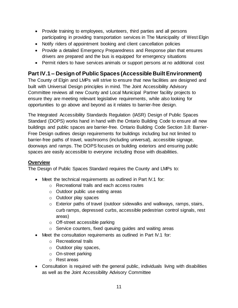- Provide training to employees, volunteers, third parties and all persons participating in providing transportation services in The Municipality of West Elgin
- Notify riders of appointment booking and client cancellation policies
- Provide a detailed Emergency Preparedness and Response plan that ensures drivers are prepared and the bus is equipped for emergency situations
- Permit riders to have services animals or support persons at no additional cost

# <span id="page-10-0"></span>**Part IV.1 – Design of Public Spaces (Accessible Built Environment)**

The County of Elgin and LMPs will strive to ensure that new facilities are designed and built with Universal Design principles in mind. The Joint Accessibility Advisory Committee reviews all new County and Local Municipal Partner facility projects to ensure they are meeting relevant legislative requirements, while also looking for opportunities to go above and beyond as it relates to barrier-free design.

The Integrated Accessibility Standards Regulation (IASR) Design of Public Spaces Standard (DOPS) works hand in hand with the Ontario Building Code to ensure all new buildings and public spaces are barrier-free. Ontario Building Code Section 3.8: Barrier-Free Design outlines design requirements for buildings including but not limited to barrier-free paths of travel, washrooms (including universal), accessible signage, doorways and ramps. The DOPS focuses on building exteriors and ensuring public spaces are easily accessible to everyone including those with disabilities.

#### **Overview**

The Design of Public Spaces Standard requires the County and LMPs to:

- Meet the technical requirements as outlined in Part IV.1 for:
	- o Recreational trails and each access routes
	- o Outdoor public use eating areas
	- o Outdoor play spaces
	- o Exterior paths of travel (outdoor sidewalks and walkways, ramps, stairs, curb ramps, depressed curbs, accessible pedestrian control signals, rest areas)
	- o Off-street accessible parking
	- o Service counters, fixed queuing guides and waiting areas
- Meet the consultation requirements as outlined in Part IV.1 for:
	- o Recreational trails
	- o Outdoor play spaces,
	- o On-street parking
	- o Rest areas
- Consultation is required with the general public, individuals living with disabilities as well as the Joint Accessibility Advisory Committee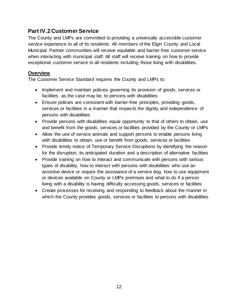#### <span id="page-11-0"></span>**Part IV.2 Customer Service**

The County and LMPs are committed to providing a universally accessible customer service experience to all of its residents. All members of the Elgin County and Local Municipal Partner communities will receive equitable and barrier-free customer service when interacting with municipal staff. All staff will receive training on how to provide exceptional customer service to all residents including those living with disabilities.

#### **Overview**

The Customer Service Standard requires the County and LMPs to:

- Implement and maintain policies governing its provision of goods, services or facilities, as the case may be, to persons with disabilities
- Ensure policies are consistent with barrier-free principles, providing goods, services or facilities in a manner that respects the dignity and independence of persons with disabilities
- Provide persons with disabilities equal opportunity to that of others to obtain, use and benefit from the goods, services or facilities provided by the County or LMPs
- Allow the use of service animals and support persons to enable persons living with disabilities to obtain, use or benefit from goods, services or facilities
- Provide timely notice of Temporary Service Disruptions by identifying the reason for the disruption, its anticipated duration and a description of alternative facilities
- Provide training on how to interact and communicate with persons with various types of disability, how to interact with persons with disabilities who use an assistive device or require the assistance of a service dog, how to use equipment or devices available on County or LMPs premises and what to do if a person living with a disability is having difficulty accessing goods, services or facilities
- Create processes for receiving and responding to feedback about the manner in which the County provides goods, services or facilities to persons with disabilities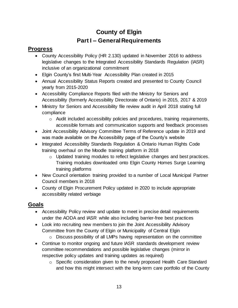# **County of Elgin Part I – General Requirements**

# <span id="page-12-0"></span>**Progress**

- County Accessibility Policy (HR 2.130) updated in November 2016 to address legislative changes to the Integrated Accessibility Standards Regulation (IASR) inclusive of an organizational commitment
- Elgin County's first Multi-Year Accessibility Plan created in 2015
- Annual Accessibility Status Reports created and presented to County Council yearly from 2015-2020
- Accessibility Compliance Reports filed with the Ministry for Seniors and Accessibility (formerly Accessibility Directorate of Ontario) in 2015, 2017 & 2019
- Ministry for Seniors and Accessibility file review audit in April 2018 stating full compliance
	- $\circ$  Audit included accessibility policies and procedures, training requirements, accessible formats and communication supports and feedback processes
- Joint Accessibility Advisory Committee Terms of Reference update in 2019 and was made available on the Accessibility page of the County's website
- Integrated Accessibility Standards Regulation & Ontario Human Rights Code training overhaul on the Moodle training platform in 2018
	- $\circ$  Updated training modules to reflect legislative changes and best practices. Training modules downloaded onto Elgin County Homes Surge Learning training platforms
- New Council orientation training provided to a number of Local Municipal Partner Council members in 2018
- County of Elgin Procurement Policy updated in 2020 to include appropriate accessibility related verbiage

# **Goals**

- Accessibility Policy review and update to meet in precise detail requirements under the AODA and IASR while also including barrier-free best practices
- Look into recruiting new members to join the Joint Accessibility Advisory Committee from the County of Elgin or Municipality of Central Elgin
	- o Discuss possibility of all LMPs having representation on the committee
- Continue to monitor ongoing and future IASR standards development review committee recommendations and possible legislative changes (mirror in respective policy updates and training updates as required)
	- o Specific consideration given to the newly proposed Health Care Standard and how this might intersect with the long-term care portfolio of the County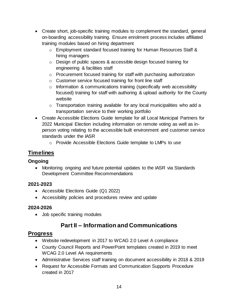- Create short, job-specific training modules to complement the standard, general on-boarding accessibility training. Ensure enrolment process includes affiliated training modules based on hiring department
	- o Employment standard focused training for Human Resources Staff & hiring managers
	- o Design of public spaces & accessible design focused training for engineering & facilities staff
	- o Procurement focused training for staff with purchasing authorization
	- o Customer service focused training for front line staff
	- $\circ$  Information & communications training (specifically web accessibility focused) training for staff with authoring & upload authority for the County website
	- $\circ$  Transportation training available for any local municipalities who add a transportation service to their working portfolio
- Create Accessible Elections Guide template for all Local Municipal Partners for 2022 Municipal Election including information on remote voting as well as inperson voting relating to the accessible built environment and customer service standards under the IASR
	- o Provide Accessible Elections Guide template to LMPs to use

### **Timelines**

#### **Ongoing**

• Monitoring ongoing and future potential updates to the IASR via Standards Development Committee Recommendations

#### **2021-2023**

- Accessible Elections Guide (Q1 2022)
- Accessibility policies and procedures review and update

#### **2024-2026**

• Job specific training modules

# **Part II – Information and Communications**

- Website redevelopment in 2017 to WCAG 2.0 Level A compliance
- County Council Reports and PowerPoint templates created in 2019 to meet WCAG 2.0 Level AA requirements
- Administrative Services staff training on document accessibility in 2018 & 2019
- Request for Accessible Formats and Communication Supports Procedure created in 2017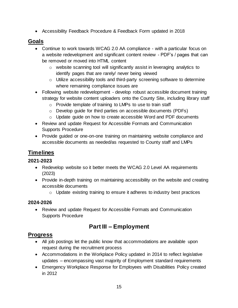• Accessibility Feedback Procedure & Feedback Form updated in 2018

### **Goals**

- Continue to work towards WCAG 2.0 AA compliance with a particular focus on a website redevelopment and significant content review - PDF's / pages that can be removed or moved into HTML content
	- $\circ$  website scanning tool will significantly assist in leveraging analytics to identify pages that are rarely/ never being viewed
	- o Utilize accessibility tools and third-party screening software to determine where remaining compliance issues are
- Following website redevelopment develop robust accessible document training strategy for website content uploaders onto the County Site, including library staff
	- o Provide template of training to LMPs to use to train staff
	- o Develop guide for third parties on accessible documents (PDFs)
	- o Update guide on how to create accessible Word and PDF documents
- Review and update Request for Accessible Formats and Communication Supports Procedure
- Provide guided or one-on-one training on maintaining website compliance and accessible documents as needed/as requested to County staff and LMPs

# **Timelines**

#### **2021-2023**

- Redevelop website so it better meets the WCAG 2.0 Level AA requirements (2023)
- Provide in-depth training on maintaining accessibility on the website and creating accessible documents
	- o Update existing training to ensure it adheres to industry best practices

#### **2024-2026**

• Review and update Request for Accessible Formats and Communication Supports Procedure

# **Part III – Employment**

- All job postings let the public know that accommodations are available upon request during the recruitment process
- Accommodations in the Workplace Policy updated in 2014 to reflect legislative updates – encompassing vast majority of Employment standard requirements
- Emergency Workplace Response for Employees with Disabilities Policy created in 2012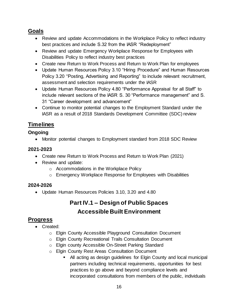#### **Goals**

- Review and update Accommodations in the Workplace Policy to reflect industry best practices and include S.32 from the IASR "Redeployment"
- Review and update Emergency Workplace Response for Employees with Disabilities Policy to reflect industry best practices
- Create new Return to Work Process and Return to Work Plan for employees
- Update Human Resources Policy 3.10 "Hiring Procedure" and Human Resources Policy 3.20 "Posting, Advertising and Reporting" to include relevant recruitment, assessment and selection requirements under the IASR
- Update Human Resources Policy 4.80 "Performance Appraisal for all Staff" to include relevant sections of the IASR S. 30 "Performance management" and S. 31 "Career development and advancement"
- Continue to monitor potential changes to the Employment Standard under the IASR as a result of 2018 Standards Development Committee (SDC) review

# **Timelines**

#### **Ongoing**

• Monitor potential changes to Employment standard from 2018 SDC Review

#### **2021-2023**

- Create new Return to Work Process and Return to Work Plan (2021)
- Review and update:
	- o Accommodations in the Workplace Policy
	- o Emergency Workplace Response for Employees with Disabilities

#### **2024-2026**

• Update Human Resources Policies 3.10, 3.20 and 4.80

# **Part IV.1 – Design of Public Spaces Accessible Built Environment**

- Created:
	- o Elgin County Accessible Playground Consultation Document
	- o Elgin County Recreational Trails Consultation Document
	- o Elgin county Accessible On-Street Parking Standard
	- o Elgin County Rest Areas Consultation Document
		- All acting as design guidelines for Elgin County and local municipal partners including technical requirements, opportunities for best practices to go above and beyond compliance levels and incorporated consultations from members of the public, individuals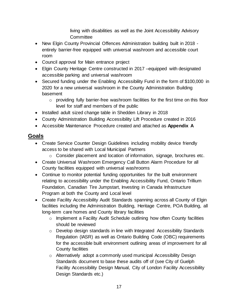living with disabilities as well as the Joint Accessibility Advisory **Committee** 

- New Elgin County Provincial Offences Administration building built in 2018 entirely barrier-free equipped with universal washroom and accessible court room
- Council approval for Main entrance project
- Elgin County Heritage Centre constructed in 2017 equipped with designated accessible parking and universal washroom
- Secured funding under the Enabling Accessibility Fund in the form of \$100,000 in 2020 for a new universal washroom in the County Administration Building basement
	- o providing fully barrier-free washroom facilities for the first time on this floor level for staff and members of the public
- Installed adult sized change table in Shedden Library in 2018
- County Administration Building Accessibility Lift Procedure created in 2016
- Accessible Maintenance Procedure created and attached as **Appendix A**

#### **Goals**

- Create Service Counter Design Guidelines including mobility device friendly access to be shared with Local Municipal Partners
	- o Consider placement and location of information, signage, brochures etc.
- Create Universal Washroom Emergency Call Button Alarm Procedure for all County facilities equipped with universal washrooms
- Continue to monitor potential funding opportunities for the built environment relating to accessibility under the Enabling Accessibility Fund, Ontario Trillium Foundation, Canadian Tire Jumpstart, Investing in Canada Infrastructure Program at both the County and Local level
- Create Facility Accessibility Audit Standards spanning across all County of Elgin facilities including the Administration Building, Heritage Centre, POA Building, all long-term care homes and County library facilities
	- o Implement a Facility Audit Schedule outlining how often County facilities should be reviewed
	- o Develop design standards in line with Integrated Accessibility Standards Regulation (IASR) as well as Ontario Building Code (OBC) requirements for the accessible built environment outlining areas of improvement for all County facilities
	- o Alternatively adopt a commonly used municipal Accessibility Design Standards document to base these audits off of (see City of Guelph Facility Accessibility Design Manual, City of London Facility Accessibility Design Standards etc.)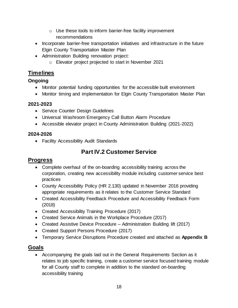- o Use these tools to inform barrier-free facility improvement recommendations
- Incorporate barrier-free transportation initiatives and infrastructure in the future Elgin County Transportation Master Plan
- Administration Building renovation project:
	- o Elevator project projected to start in November 2021

#### **Timelines**

#### **Ongoing**

- Monitor potential funding opportunities for the accessible built environment
- Monitor timing and implementation for Elgin County Transportation Master Plan

#### **2021-2023**

- Service Counter Design Guidelines
- Universal Washroom Emergency Call Button Alarm Procedure
- Accessible elevator project in County Administration Building (2021-2022)

#### **2024-2026**

• Facility Accessibility Audit Standards

# **Part IV.2 Customer Service**

#### **Progress**

- Complete overhaul of the on-boarding accessibility training across the corporation, creating new accessibility module including customer service best practices
- County Accessibility Policy (HR 2.130) updated in November 2016 providing appropriate requirements as it relates to the Customer Service Standard
- Created Accessibility Feedback Procedure and Accessibility Feedback Form (2018)
- Created Accessibility Training Procedure (2017)
- Created Service Animals in the Workplace Procedure (2017)
- Created Assistive Device Procedure Administration Building lift (2017)
- Created Support Persons Procedure (2017)
- Temporary Service Disruptions Procedure created and attached as **Appendix B**

#### **Goals**

• Accompanying the goals laid out in the General Requirements Section as it relates to job specific training, create a customer service focused training module for all County staff to complete in addition to the standard on-boarding accessibility training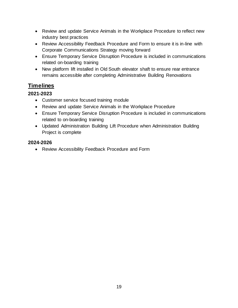- Review and update Service Animals in the Workplace Procedure to reflect new industry best practices
- Review Accessibility Feedback Procedure and Form to ensure it is in-line with Corporate Communications Strategy moving forward
- Ensure Temporary Service Disruption Procedure is included in communications related on-boarding training
- New platform lift installed in Old South elevator shaft to ensure rear entrance remains accessible after completing Administrative Building Renovations

#### **Timelines**

#### **2021-2023**

- Customer service focused training module
- Review and update Service Animals in the Workplace Procedure
- Ensure Temporary Service Disruption Procedure is included in communications related to on-boarding training
- Updated Administration Building Lift Procedure when Administration Building Project is complete

#### **2024-2026**

• Review Accessibility Feedback Procedure and Form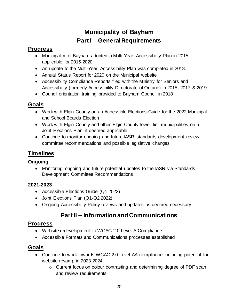# **Municipality of Bayham Part I – General Requirements**

# <span id="page-19-0"></span>**Progress**

- Municipality of Bayham adopted a Multi-Year Accessibility Plan in 2015, applicable for 2015-2020
- An update to the Multi-Year Accessibility Plan was completed in 2018.
- Annual Status Report for 2020 on the Municipal website
- Accessibility Compliance Reports filed with the Ministry for Seniors and Accessibility (formerly Accessibility Directorate of Ontario) in 2015, 2017 & 2019
- Council orientation training provided to Bayham Council in 2018

# **Goals**

- Work with Elgin County on an Accessible Elections Guide for the 2022 Municipal and School Boards Election
- Work with Elgin County and other Elgin County lower-tier municipalities on a Joint Elections Plan, if deemed applicable
- Continue to monitor ongoing and future IASR standards development review committee recommendations and possible legislative changes

# **Timelines**

#### **Ongoing**

• Monitoring ongoing and future potential updates to the IASR via Standards Development Committee Recommendations

#### **2021-2023**

- Accessible Elections Guide (Q1 2022)
- Joint Elections Plan (Q1-Q2 2022)
- Ongoing Accessibility Policy reviews and updates as deemed necessary

# **Part II – Information and Communications**

# **Progress**

- Website redevelopment to WCAG 2.0 Level A Compliance
- Accessible Formats and Communications processes established

# **Goals**

- Continue to work towards WCAG 2.0 Level AA compliance including potential for website revamp in 2023-2024
	- o Current focus on colour contrasting and determining degree of PDF scan and review requirements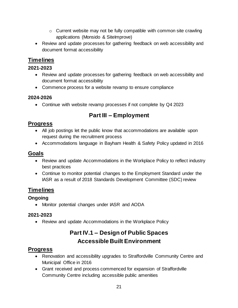- $\circ$  Current website may not be fully compatible with common site crawling applications (Monsido & SiteImprove)
- Review and update processes for gathering feedback on web accessibility and document format accessibility

### **Timelines**

#### **2021-2023**

- Review and update processes for gathering feedback on web accessibility and document format accessibility
- Commence process for a website revamp to ensure compliance

#### **2024-2026**

• Continue with website revamp processes if not complete by Q4 2023

# **Part III – Employment**

#### **Progress**

- All job postings let the public know that accommodations are available upon request during the recruitment process
- Accommodations language in Bayham Health & Safety Policy updated in 2016

#### **Goals**

- Review and update Accommodations in the Workplace Policy to reflect industry best practices
- Continue to monitor potential changes to the Employment Standard under the IASR as a result of 2018 Standards Development Committee (SDC) review

# **Timelines**

#### **Ongoing**

• Monitor potential changes under IASR and AODA

#### **2021-2023**

• Review and update Accommodations in the Workplace Policy

# **Part IV.1 – Design of Public Spaces Accessible Built Environment**

- Renovation and accessibility upgrades to Straffordville Community Centre and Municipal Office in 2016
- Grant received and process commenced for expansion of Straffordville Community Centre including accessible public amenities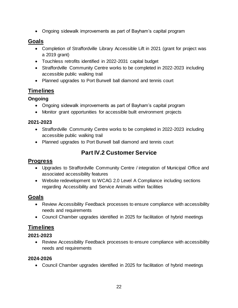• Ongoing sidewalk improvements as part of Bayham's capital program

#### **Goals**

- Completion of Straffordville Library Accessible Lift in 2021 (grant for project was a 2019 grant)
- Touchless retrofits identified in 2022-2031 capital budget
- Straffordville Community Centre works to be completed in 2022-2023 including accessible public walking trail
- Planned upgrades to Port Burwell ball diamond and tennis court

#### **Timelines**

#### **Ongoing**

- Ongoing sidewalk improvements as part of Bayham's capital program
- Monitor grant opportunities for accessible built environment projects

#### **2021-2023**

- Straffordville Community Centre works to be completed in 2022-2023 including accessible public walking trail
- Planned upgrades to Port Burwell ball diamond and tennis court

# **Part IV.2 Customer Service**

#### **Progress**

- Upgrades to Straffordville Community Centre / integration of Municipal Office and associated accessibility features
- Website redevelopment to WCAG 2.0 Level A Compliance including sections regarding Accessibility and Service Animals within facilities

#### **Goals**

- Review Accessibility Feedback processes to ensure compliance with accessibility needs and requirements
- Council Chamber upgrades identified in 2025 for facilitation of hybrid meetings

#### **Timelines**

#### **2021-2023**

• Review Accessibility Feedback processes to ensure compliance with accessibility needs and requirements

#### **2024-2026**

• Council Chamber upgrades identified in 2025 for facilitation of hybrid meetings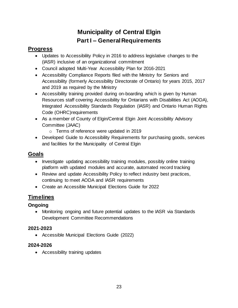# **Municipality of Central Elgin Part I – General Requirements**

# <span id="page-22-0"></span>**Progress**

- Updates to Accessibility Policy in 2016 to address legislative changes to the (IASR) inclusive of an organizational commitment
- Council adopted Multi-Year Accessibility Plan for 2016-2021
- Accessibility Compliance Reports filed with the Ministry for Seniors and Accessibility (formerly Accessibility Directorate of Ontario) for years 2015, 2017 and 2019 as required by the Ministry
- Accessibility training provided during on-boarding which is given by Human Resources staff covering Accessibility for Ontarians with Disabilities Act (AODA), Integrated Accessibility Standards Regulation (IASR) and Ontario Human Rights Code (OHRC)requirements
- As a member of County of Elgin/Central Elgin Joint Accessibility Advisory Committee (JAAC)
	- o Terms of reference were updated in 2019
- Developed Guide to Accessibility Requirements for purchasing goods, services and facilities for the Municipality of Central Elgin

# **Goals**

- Investigate updating accessibility training modules, possibly online training platform with updated modules and accurate, automated record tracking
- Review and update Accessibility Policy to reflect industry best practices, continuing to meet AODA and IASR requirements
- Create an Accessible Municipal Elections Guide for 2022

# **Timelines**

#### **Ongoing**

• Monitoring ongoing and future potential updates to the IASR via Standards Development Committee Recommendations

#### **2021-2023**

• Accessible Municipal Elections Guide (2022)

#### **2024-2026**

• Accessibility training updates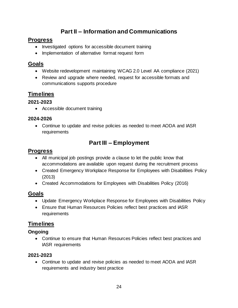# **Part II – Information and Communications**

#### **Progress**

- Investigated options for accessible document training
- Implementation of alternative format request form

#### **Goals**

- Website redevelopment maintaining WCAG 2.0 Level AA compliance (2021)
- Review and upgrade where needed, request for accessible formats and communications supports procedure

# **Timelines**

#### **2021-2023**

• Accessible document training

#### **2024-2026**

• Continue to update and revise policies as needed to meet AODA and IASR requirements

# **Part III – Employment**

# **Progress**

- All municipal job postings provide a clause to let the public know that accommodations are available upon request during the recruitment process
- Created Emergency Workplace Response for Employees with Disabilities Policy (2013)
- Created Accommodations for Employees with Disabilities Policy (2016)

# **Goals**

- Update Emergency Workplace Response for Employees with Disabilities Policy
- Ensure that Human Resources Policies reflect best practices and IASR requirements

#### **Timelines**

#### **Ongoing**

• Continue to ensure that Human Resources Policies reflect best practices and IASR requirements

#### **2021-2023**

• Continue to update and revise policies as needed to meet AODA and IASR requirements and industry best practice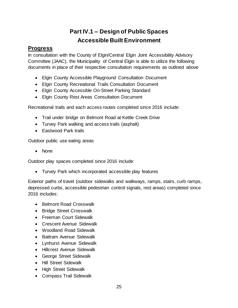# **Part IV.1 – Design of Public Spaces Accessible Built Environment**

#### **Progress**

In consultation with the County of Elgin/Central Elgin Joint Accessibility Advisory Committee (JAAC), the Municipality of Central Elgin is able to utilize the following documents in place of their respective consultation requirements as outlined above

- Elgin County Accessible Playground Consultation Document
- Elgin County Recreational Trails Consultation Document
- Elgin County Accessible On-Street Parking Standard
- Elgin County Rest Areas Consultation Document

Recreational trails and each access routes completed since 2016 include:

- Trail under bridge on Belmont Road at Kettle Creek Drive
- Turvey Park walking and access trails (asphalt)
- Eastwood Park trails

Outdoor public use eating areas

• None

Outdoor play spaces completed since 2016 include:

• Turvey Park which incorporated accessible play features

Exterior paths of travel (outdoor sidewalks and walkways, ramps, stairs, curb ramps, depressed curbs, accessible pedestrian control signals, rest areas) completed since 2016 includes:

- Belmont Road Crosswalk
- Bridge Street Crosswalk
- Freeman Court Sidewalk
- Crescent Avenue Sidewalk
- Woodland Road Sidewalk
- Battram Avenue Sidewalk
- Lynhurst Avenue Sidewalk
- Hillcrest Avenue Sidewalk
- George Street Sidewalk
- Hill Street Sidewalk
- High Street Sidewalk
- Compass Trail Sidewalk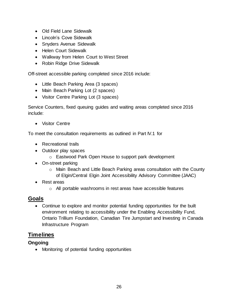- Old Field Lane Sidewalk
- Lincoln's Cove Sidewalk
- Snyders Avenue Sidewalk
- Helen Court Sidewalk
- Walkway from Helen Court to West Street
- Robin Ridge Drive Sidewalk

Off-street accessible parking completed since 2016 include:

- Little Beach Parking Area (3 spaces)
- Main Beach Parking Lot (2 spaces)
- Visitor Centre Parking Lot (3 spaces)

Service Counters, fixed queuing guides and waiting areas completed since 2016 include:

• Visitor Centre

To meet the consultation requirements as outlined in Part IV.1 for

- Recreational trails
- Outdoor play spaces
	- o Eastwood Park Open House to support park development
- On-street parking
	- o Main Beach and Little Beach Parking areas consultation with the County of Elgin/Central Elgin Joint Accessibility Advisory Committee (JAAC)
- Rest areas
	- o All portable washrooms in rest areas have accessible features

#### **Goals**

• Continue to explore and monitor potential funding opportunities for the built environment relating to accessibility under the Enabling Accessibility Fund, Ontario Trillium Foundation, Canadian Tire Jumpstart and Investing in Canada Infrastructure Program

#### **Timelines**

#### **Ongoing**

• Monitoring of potential funding opportunities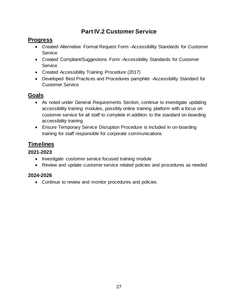# **Part IV.2 Customer Service**

#### **Progress**

- Created Alternative Format Request Form -Accessibility Standards for Customer **Service**
- Created Compliant/Suggestions Form -Accessibility Standards for Customer Service
- Created Accessibility Training Procedure (2017)
- Developed Best Practices and Procedures pamphlet -Accessibility Standard for Customer Service

#### **Goals**

- As noted under General Requirements Section, continue to investigate updating accessibility training modules, possibly online training platform with a focus on customer service for all staff to complete in addition to the standard on-boarding accessibility training
- Ensure Temporary Service Disruption Procedure is included in on-boarding training for staff responsible for corporate communications

# **Timelines**

#### **2021-2023**

- Investigate customer service focused training module
- Review and update customer service related policies and procedures as needed

#### **2024-2026**

• Continue to review and monitor procedures and policies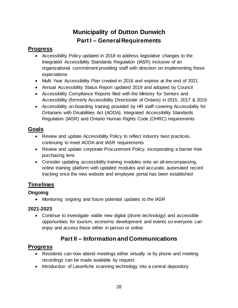# **Municipality of Dutton Dunwich Part I – General Requirements**

# <span id="page-27-0"></span>**Progress**

- Accessibility Policy updated in 2018 to address legislative changes to the Integrated Accessibility Standards Regulation (IASR) inclusive of an organizational commitment providing staff with direction on implementing these expectations
- Multi Year Accessibility Plan created in 2016 and expires at the end of 2021
- Annual Accessibility Status Report updated 2019 and adopted by Council
- Accessibility Compliance Reports filed with the Ministry for Seniors and Accessibility (formerly Accessibility Directorate of Ontario) in 2015, 2017 & 2019
- Accessibility on-boarding training provided by HR staff covering Accessibility for Ontarians with Disabilities Act (AODA), Integrated Accessibility Standards Regulation (IASR) and Ontario Human Rights Code (OHRC) requirements

# **Goals**

- Review and update Accessibility Policy to reflect industry best practices, continuing to meet AODA and IASR requirements
- Review and update corporate Procurement Policy, incorporating a barrier-free purchasing lens
- Consider updating accessibility training modules onto an all-encompassing, online training platform with updated modules and accurate, automated record tracking once the new website and employee portal has been established

# **Timelines**

#### **Ongoing**

• Monitoring ongoing and future potential updates to the IASR

#### **2021-2023**

• Continue to investigate viable new digital (drone technology) and accessible opportunities for tourism, economic development and events so everyone can enjoy and access these either in person or online

# **Part II – Information and Communications**

- Residents can now attend meetings either virtually or by phone and meeting recordings can be made available by request
- Introduction of Laserfiche scanning technology into a central depository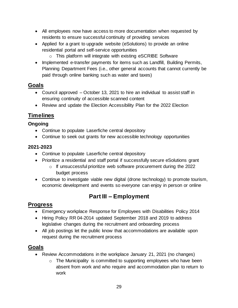- All employees now have access to more documentation when requested by residents to ensure successful continuity of providing services
- Applied for a grant to upgrade website (eSolutions) to provide an online residential portal and self-service opportunities
	- o This platform will integrate with existing eSCRIBE Software
- Implemented e-transfer payments for items such as Landfill, Building Permits, Planning Department Fees (i.e., other general accounts that cannot currently be paid through online banking such as water and taxes)

#### **Goals**

- Council approved October 13, 2021 to hire an individual to assist staff in ensuring continuity of accessible scanned content
- Review and update the Election Accessibility Plan for the 2022 Election

#### **Timelines**

#### **Ongoing**

- Continue to populate Laserfiche central depository
- Continue to seek out grants for new accessible technology opportunities

#### **2021-2023**

- Continue to populate Laserfiche central depository
- Prioritize a residential and staff portal if successfully secure eSolutions grant
	- o If unsuccessful prioritize web software procurement during the 2022 budget process
- Continue to investigate viable new digital (drone technology) to promote tourism, economic development and events so everyone can enjoy in person or online

# **Part III – Employment**

#### **Progress**

- Emergency workplace Response for Employees with Disabilities Policy 2014
- Hiring Policy RR 04-2014 updated September 2018 and 2019 to address legislative changes during the recruitment and onboarding process
- All job postings let the public know that accommodations are available upon request during the recruitment process

#### **Goals**

- Review Accommodations in the workplace January 21, 2021 (no changes)
	- o The Municipality is committed to supporting employees who have been absent from work and who require and accommodation plan to return to work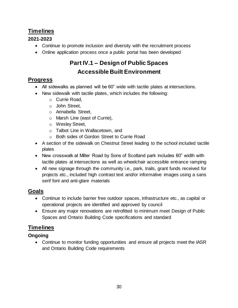# **Timelines**

#### **2021-2023**

- Continue to promote inclusion and diversity with the recruitment process
- Online application process once a public portal has been developed

# **Part IV.1 – Design of Public Spaces Accessible Built Environment**

# **Progress**

- All sidewalks as planned will be 60" wide with tactile plates at intersections.
- New sidewalk with tactile plates, which includes the following:
	- o Currie Road,
	- o John Street,
	- o Annabella Street,
	- o Marsh Line (east of Currie),
	- o Wesley Street,
	- o Talbot Line in Wallacetown, and
	- o Both sides of Gordon Street to Currie Road
- A section of the sidewalk on Chestnut Street leading to the school included tactile plates
- New crosswalk at Miller Road by Sons of Scotland park includes 60" width with tactile plates at intersections as well as wheelchair accessible entrance ramping
- All new signage through the community i.e., park, trails, grant funds received for projects etc., included high contrast text and/or informative images using a sans serif font and anti-glare materials

# **Goals**

- Continue to include barrier free outdoor spaces, infrastructure etc., as capital or operational projects are identified and approved by council
- Ensure any major renovations are retrofitted to minimum meet Design of Public Spaces and Ontario Building Code specifications and standard

# **Timelines**

#### **Ongoing**

• Continue to monitor funding opportunities and ensure all projects meet the IASR and Ontario Building Code requirements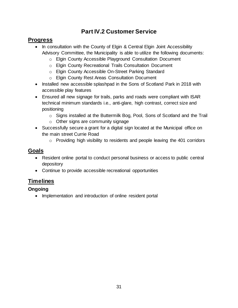# **Part IV.2 Customer Service**

#### **Progress**

- In consultation with the County of Elgin & Central Elgin Joint Accessibility Advisory Committee, the Municipality is able to utilize the following documents:
	- o Elgin County Accessible Playground Consultation Document
	- o Elgin County Recreational Trails Consultation Document
	- o Elgin County Accessible On-Street Parking Standard
	- o Elgin County Rest Areas Consultation Document
- Installed new accessible splashpad in the Sons of Scotland Park in 2018 with accessible play features
- Ensured all new signage for trails, parks and roads were compliant with ISAR technical minimum standards i.e., anti-glare, high contrast, correct size and positioning
	- o Signs installed at the Buttermilk Bog, Pool, Sons of Scotland and the Trail
	- o Other signs are community signage
- Successfully secure a grant for a digital sign located at the Municipal office on the main street Currie Road
	- o Providing high visibility to residents and people leaving the 401 corridors

### **Goals**

- Resident online portal to conduct personal business or access to public central depository
- Continue to provide accessible recreational opportunities

# **Timelines**

#### **Ongoing**

• Implementation and introduction of online resident portal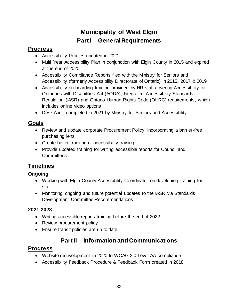# **Municipality of West Elgin Part I – General Requirements**

# <span id="page-31-0"></span>**Progress**

- Accessibility Policies updated in 2021
- Multi Year Accessibility Plan in conjunction with Elgin County in 2015 and expired at the end of 2020
- Accessibility Compliance Reports filed with the Ministry for Seniors and Accessibility (formerly Accessibility Directorate of Ontario) in 2015, 2017 & 2019
- Accessibility on-boarding training provided by HR staff covering Accessibility for Ontarians with Disabilities Act (AODA), Integrated Accessibility Standards Regulation (IASR) and Ontario Human Rights Code (OHRC) requirements, which includes online video options
- Desk Audit completed in 2021 by Ministry for Seniors and Accessibility

#### **Goals**

- Review and update corporate Procurement Policy, incorporating a barrier-free purchasing lens
- Create better tracking of accessibility training
- Provide updated training for writing accessible reports for Council and **Committees**

# **Timelines**

#### **Ongoing**

- Working with Elgin County Accessibility Coordinator on developing training for staff
- Monitoring ongoing and future potential updates to the IASR via Standards Development Committee Recommendations

#### **2021-2023**

- Writing accessible reports training before the end of 2022
- Review procurement policy
- Ensure transit policies are up to date

# **Part II – Information and Communications**

- Website redevelopment in 2020 to WCAG 2.0 Level AA compliance
- Accessibility Feedback Procedure & Feedback Form created in 2018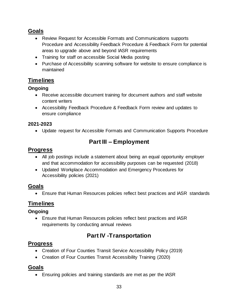#### **Goals**

- Review Request for Accessible Formats and Communications supports Procedure and Accessibility Feedback Procedure & Feedback Form for potential areas to upgrade above and beyond IASR requirements
- Training for staff on accessible Social Media posting
- Purchase of Accessibility scanning software for website to ensure compliance is maintained

# **Timelines**

#### **Ongoing**

- Receive accessible document training for document authors and staff website content writers
- Accessibility Feedback Procedure & Feedback Form review and updates to ensure compliance

#### **2021-2023**

• Update request for Accessible Formats and Communication Supports Procedure

# **Part III – Employment**

#### **Progress**

- All job postings include a statement about being an equal opportunity employer and that accommodation for accessibility purposes can be requested (2018)
- Updated Workplace Accommodation and Emergency Procedures for Accessibility policies (2021)

#### **Goals**

• Ensure that Human Resources policies reflect best practices and IASR standards

#### **Timelines**

#### **Ongoing**

• Ensure that Human Resources policies reflect best practices and IASR requirements by conducting annual reviews

# **Part IV -Transportation**

#### **Progress**

- Creation of Four Counties Transit Service Accessibility Policy (2019)
- Creation of Four Counties Transit Accessibility Training (2020)

#### **Goals**

• Ensuring policies and training standards are met as per the IASR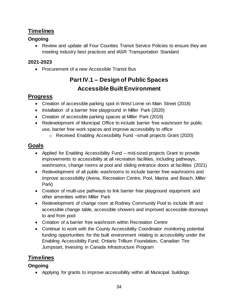# **Timelines**

#### **Ongoing**

• Review and update all Four Counties Transit Service Policies to ensure they are meeting industry best practices and IASR Transportation Standard

#### **2021-2023**

• Procurement of a new Accessible Transit Bus

# **Part IV.1 – Design of Public Spaces Accessible Built Environment**

#### **Progress**

- Creation of accessible parking spot in West Lorne on Main Street (2018)
- Installation of a barrier free playground in Miller Park (2020)
- Creation of accessible parking spaces at Miller Park (2019)
- Redevelopment of Municipal Office to include barrier free washroom for public use, barrier free work spaces and improve accessibility to office
	- o Received Enabling Accessibility Fund –small projects Grant (2020)

#### **Goals**

- Applied for Enabling Accessibility Fund mid-sized projects Grant to provide improvements to accessibility at all recreation facilities, including pathways, washrooms, change rooms at pool and sliding entrance doors at facilities (2021)
- Redevelopment of all public washrooms to include barrier free washrooms and improve accessibility (Arena, Recreation Centre, Pool, Marina and Beach, Miller Park)
- Creation of multi-use pathways to link barrier free playground equipment and other amenities within Miller Park
- Redevelopment of change room at Rodney Community Pool to include lift and accessible change table, accessible showers and improved accessible doorways to and from pool
- Creation of a barrier free washroom within Recreation Centre
- Continue to work with the County Accessibility Coordinator monitoring potential funding opportunities for the built environment relating to accessibility under the Enabling Accessibility Fund, Ontario Trillium Foundation, Canadian Tire Jumpstart, Investing in Canada Infrastructure Program

# **Timelines**

#### **Ongoing**

• Applying for grants to improve accessibility within all Municipal buildings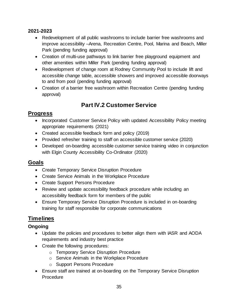#### **2021-2023**

- Redevelopment of all public washrooms to include barrier free washrooms and improve accessibility –Arena, Recreation Centre, Pool, Marina and Beach, Miller Park (pending funding approval)
- Creation of multi-use pathways to link barrier free playground equipment and other amenities within Miller Park (pending funding approval)
- Redevelopment of change room at Rodney Community Pool to include lift and accessible change table, accessible showers and improved accessible doorways to and from pool (pending funding approval)
- Creation of a barrier free washroom within Recreation Centre (pending funding approval)

# **Part IV.2 Customer Service**

# **Progress**

- Incorporated Customer Service Policy with updated Accessibility Policy meeting appropriate requirements (2021)
- Created accessible feedback form and policy (2019)
- Provided refresher training to staff on accessible customer service (2020)
- Developed on-boarding accessible customer service training video in conjunction with Elgin County Accessibility Co-Ordinator (2020)

#### **Goals**

- Create Temporary Service Disruption Procedure
- Create Service Animals in the Workplace Procedure
- Create Support Persons Procedure
- Review and update accessibility feedback procedure while including an accessibility feedback form for members of the public
- Ensure Temporary Service Disruption Procedure is included in on-boarding training for staff responsible for corporate communications

# **Timelines**

#### **Ongoing**

- Update the policies and procedures to better align them with IASR and AODA requirements and industry best practice
- Create the following procedures:
	- o Temporary Service Disruption Procedure
	- o Service Animals in the Workplace Procedure
	- o Support Persons Procedure
- Ensure staff are trained at on-boarding on the Temporary Service Disruption Procedure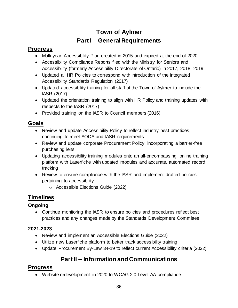# **Town of Aylmer Part I – General Requirements**

# <span id="page-35-0"></span>**Progress**

- Multi-year Accessibility Plan created in 2015 and expired at the end of 2020
- Accessibility Compliance Reports filed with the Ministry for Seniors and Accessibility (formerly Accessibility Directorate of Ontario) in 2017, 2018, 2019
- Updated all HR Policies to correspond with introduction of the Integrated Accessibility Standards Regulation (2017)
- Updated accessibility training for all staff at the Town of Aylmer to include the IASR (2017)
- Updated the orientation training to align with HR Policy and training updates with respects to the IASR (2017)
- Provided training on the IASR to Council members (2016)

# **Goals**

- Review and update Accessibility Policy to reflect industry best practices, continuing to meet AODA and IASR requirements
- Review and update corporate Procurement Policy, incorporating a barrier-free purchasing lens
- Updating accessibility training modules onto an all-encompassing, online training platform with Laserfiche with updated modules and accurate, automated record tracking
- Review to ensure compliance with the IASR and implement drafted policies pertaining to accessibility
	- o Accessible Elections Guide (2022)

# **Timelines**

#### **Ongoing**

• Continue monitoring the IASR to ensure policies and procedures reflect best practices and any changes made by the Standards Development Committee

#### **2021-2023**

- Review and implement an Accessible Elections Guide (2022)
- Utilize new Laserfiche platform to better track accessibility training
- Update Procurement By-Law 34-19 to reflect current Accessibility criteria (2022)

# **Part II – Information and Communications**

# **Progress**

• Website redevelopment in 2020 to WCAG 2.0 Level AA compliance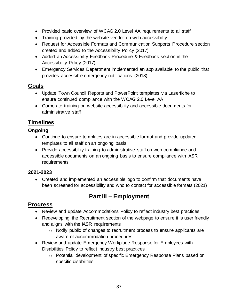- Provided basic overview of WCAG 2.0 Level AA requirements to all staff
- Training provided by the website vendor on web accessibility
- Request for Accessible Formats and Communication Supports Procedure section created and added to the Accessibility Policy (2017)
- Added an Accessibility Feedback Procedure & Feedback section in the Accessibility Policy (2017)
- Emergency Services Department implemented an app available to the public that provides accessible emergency notifications (2018)

#### **Goals**

- Update Town Council Reports and PowerPoint templates via Laserfiche to ensure continued compliance with the WCAG 2.0 Level AA
- Corporate training on website accessibility and accessible documents for administrative staff

#### **Timelines**

#### **Ongoing**

- Continue to ensure templates are in accessible format and provide updated templates to all staff on an ongoing basis
- Provide accessibility training to administrative staff on web compliance and accessible documents on an ongoing basis to ensure compliance with IASR requirements

#### **2021-2023**

• Created and implemented an accessible logo to confirm that documents have been screened for accessibility and who to contact for accessible formats (2021)

# **Part III – Employment**

- Review and update Accommodations Policy to reflect industry best practices
- Redeveloping the Recruitment section of the webpage to ensure it is user friendly and aligns with the IASR requirements
	- o Notify public of changes to recruitment process to ensure applicants are aware of accommodation procedures
- Review and update Emergency Workplace Response for Employees with Disabilities Policy to reflect industry best practices
	- o Potential development of specific Emergency Response Plans based on specific disabilities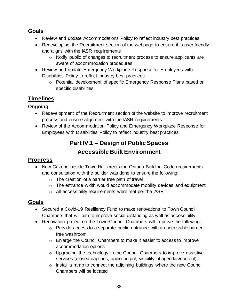#### **Goals**

- Review and update Accommodations Policy to reflect industry best practices
- Redeveloping the Recruitment section of the webpage to ensure it is user friendly and aligns with the IASR requirements
	- o Notify public of changes to recruitment process to ensure applicants are aware of accommodation procedures
- Review and update Emergency Workplace Response for Employees with Disabilities Policy to reflect industry best practices
	- o Potential development of specific Emergency Response Plans based on specific disabilities

# **Timelines**

#### **Ongoing**

- Redevelopment of the Recruitment section of the website to improve recruitment process and ensure alignment with the IASR requirements
- Review of the Accommodation Policy and Emergency Workplace Response for Employees with Disabilities Policy to reflect industry best practices

# **Part IV.1 – Design of Public Spaces Accessible Built Environment**

# **Progress**

- New Gazebo beside Town Hall meets the Ontario Building Code requirements and consultation with the builder was done to ensure the following:
	- o The creation of a barrier free path of travel
	- o The entrance width would accommodate mobility devices and equipment
	- o All accessibility requirements were met per the IASR

# **Goals**

- Secured a Covid-19 Resiliency Fund to make renovations to Town Council Chambers that will aim to improve social distancing as well as accessibility
- Renovation project on the Town Council Chambers will improve the following:
	- o Provide access to a separate public entrance with an accessible barrierfree washroom
	- o Enlarge the Council Chambers to make it easier to access to improve accommodation options
	- o Upgrading the technology in the Council Chambers to improve assistive services (closed captions, audio output, visibility of agendas/content)
	- o Install a ramp to connect the adjoining buildings where the new Council Chambers will be located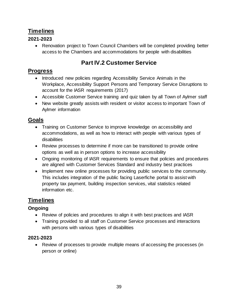# **Timelines**

#### **2021-2023**

• Renovation project to Town Council Chambers will be completed providing better access to the Chambers and accommodations for people with disabilities

# **Part IV.2 Customer Service**

#### **Progress**

- Introduced new policies regarding Accessibility Service Animals in the Workplace, Accessibility Support Persons and Temporary Service Disruptions to account for the IASR requirements (2017)
- Accessible Customer Service training and quiz taken by all Town of Aylmer staff
- New website greatly assists with resident or visitor access to important Town of Aylmer information

#### **Goals**

- Training on Customer Service to improve knowledge on accessibility and accommodations, as well as how to interact with people with various types of disabilities
- Review processes to determine if more can be transitioned to provide online options as well as in person options to increase accessibility
- Ongoing monitoring of IASR requirements to ensure that policies and procedures are aligned with Customer Services Standard and industry best practices
- Implement new online processes for providing public services to the community. This includes integration of the public facing Laserfiche portal to assist with property tax payment, building inspection services, vital statistics related information etc.

# **Timelines**

#### **Ongoing**

- Review of policies and procedures to align it with best practices and IASR
- Training provided to all staff on Customer Service processes and interactions with persons with various types of disabilities

#### **2021-2023**

• Review of processes to provide multiple means of accessing the processes (in person or online)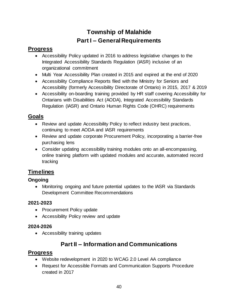# **Township of Malahide Part I – General Requirements**

# <span id="page-39-0"></span>**Progress**

- Accessibility Policy updated in 2016 to address legislative changes to the Integrated Accessibility Standards Regulation (IASR) inclusive of an organizational commitment
- Multi Year Accessibility Plan created in 2015 and expired at the end of 2020
- Accessibility Compliance Reports filed with the Ministry for Seniors and Accessibility (formerly Accessibility Directorate of Ontario) in 2015, 2017 & 2019
- Accessibility on-boarding training provided by HR staff covering Accessibility for Ontarians with Disabilities Act (AODA), Integrated Accessibility Standards Regulation (IASR) and Ontario Human Rights Code (OHRC) requirements

# **Goals**

- Review and update Accessibility Policy to reflect industry best practices, continuing to meet AODA and IASR requirements
- Review and update corporate Procurement Policy, incorporating a barrier-free purchasing lens
- Consider updating accessibility training modules onto an all-encompassing, online training platform with updated modules and accurate, automated record tracking

# **Timelines**

#### **Ongoing**

• Monitoring ongoing and future potential updates to the IASR via Standards Development Committee Recommendations

#### **2021-2023**

- Procurement Policy update
- Accessibility Policy review and update

#### **2024-2026**

• Accessibility training updates

# **Part II – Information and Communications**

- Website redevelopment in 2020 to WCAG 2.0 Level AA compliance
- Request for Accessible Formats and Communication Supports Procedure created in 2017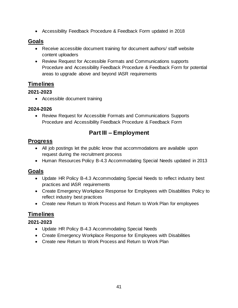• Accessibility Feedback Procedure & Feedback Form updated in 2018

#### **Goals**

- Receive accessible document training for document authors/ staff website content uploaders
- Review Request for Accessible Formats and Communications supports Procedure and Accessibility Feedback Procedure & Feedback Form for potential areas to upgrade above and beyond IASR requirements

#### **Timelines**

#### **2021-2023**

• Accessible document training

#### **2024-2026**

• Review Request for Accessible Formats and Communications Supports Procedure and Accessibility Feedback Procedure & Feedback Form

# **Part III – Employment**

#### **Progress**

- All job postings let the public know that accommodations are available upon request during the recruitment process
- Human Resources Policy B-4.3 Accommodating Special Needs updated in 2013

#### **Goals**

- Update HR Policy B-4.3 Accommodating Special Needs to reflect industry best practices and IASR requirements
- Create Emergency Workplace Response for Employees with Disabilities Policy to reflect industry best practices
- Create new Return to Work Process and Return to Work Plan for employees

#### **Timelines**

#### **2021-2023**

- Update HR Policy B-4.3 Accommodating Special Needs
- Create Emergency Workplace Response for Employees with Disabilities
- Create new Return to Work Process and Return to Work Plan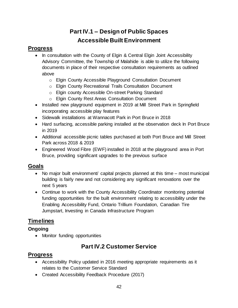# **Part IV.1 – Design of Public Spaces Accessible Built Environment**

### **Progress**

- In consultation with the County of Elgin & Central Elgin Joint Accessibility Advisory Committee, the Township of Malahide is able to utilize the following documents in place of their respective consultation requirements as outlined above
	- o Elgin County Accessible Playground Consultation Document
	- o Elgin County Recreational Trails Consultation Document
	- o Elgin county Accessible On-street Parking Standard
	- o Elgin County Rest Areas Consultation Document
- Installed new playground equipment in 2019 at Mill Street Park in Springfield incorporating accessible play features
- Sidewalk installations at Wannacott Park in Port Bruce in 2018
- Hard surfacing, accessible parking installed at the observation deck In Port Bruce in 2019
- Additional accessible picnic tables purchased at both Port Bruce and Mill Street Park across 2018 & 2019
- Engineered Wood Fibre (EWF) installed in 2018 at the playground area in Port Bruce, providing significant upgrades to the previous surface

# **Goals**

- No major built environment/ capital projects planned at this time most municipal building is fairly new and not considering any significant renovations over the next 5 years
- Continue to work with the County Accessibility Coordinator monitoring potential funding opportunities for the built environment relating to accessibility under the Enabling Accessibility Fund, Ontario Trillium Foundation, Canadian Tire Jumpstart, Investing in Canada Infrastructure Program

# **Timelines**

#### **Ongoing**

• Monitor funding opportunities

# **Part IV.2 Customer Service**

- Accessibility Policy updated in 2016 meeting appropriate requirements as it relates to the Customer Service Standard
- Created Accessibility Feedback Procedure (2017)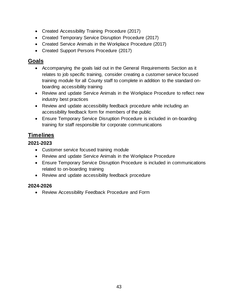- Created Accessibility Training Procedure (2017)
- Created Temporary Service Disruption Procedure (2017)
- Created Service Animals in the Workplace Procedure (2017)
- Created Support Persons Procedure (2017)

#### **Goals**

- Accompanying the goals laid out in the General Requirements Section as it relates to job specific training, consider creating a customer service focused training module for all County staff to complete in addition to the standard onboarding accessibility training
- Review and update Service Animals in the Workplace Procedure to reflect new industry best practices
- Review and update accessibility feedback procedure while including an accessibility feedback form for members of the public
- Ensure Temporary Service Disruption Procedure is included in on-boarding training for staff responsible for corporate communications

# **Timelines**

#### **2021-2023**

- Customer service focused training module
- Review and update Service Animals in the Workplace Procedure
- Ensure Temporary Service Disruption Procedure is included in communications related to on-boarding training
- Review and update accessibility feedback procedure

#### **2024-2026**

• Review Accessibility Feedback Procedure and Form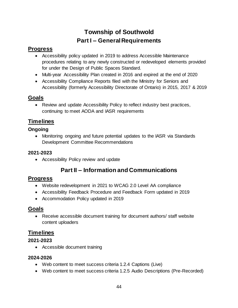# **Township of Southwold Part I – General Requirements**

# <span id="page-43-0"></span>**Progress**

- Accessibility policy updated in 2019 to address Accessible Maintenance procedures relating to any newly constructed or redeveloped elements provided for under the Design of Public Spaces Standard.
- Multi-year Accessibility Plan created in 2016 and expired at the end of 2020
- Accessibility Compliance Reports filed with the Ministry for Seniors and Accessibility (formerly Accessibility Directorate of Ontario) in 2015, 2017 & 2019

# **Goals**

• Review and update Accessibility Policy to reflect industry best practices, continuing to meet AODA and IASR requirements

# **Timelines**

#### **Ongoing**

• Monitoring ongoing and future potential updates to the IASR via Standards Development Committee Recommendations

#### **2021-2023**

• Accessibility Policy review and update

# **Part II – Information and Communications**

# **Progress**

- Website redevelopment in 2021 to WCAG 2.0 Level AA compliance
- Accessibility Feedback Procedure and Feedback Form updated in 2019
- Accommodation Policy updated in 2019

# **Goals**

• Receive accessible document training for document authors/ staff website content uploaders

# **Timelines**

#### **2021-2023**

• Accessible document training

#### **2024-2026**

- Web content to meet success criteria 1.2.4 Captions (Live)
- Web content to meet success criteria 1.2.5 Audio Descriptions (Pre-Recorded)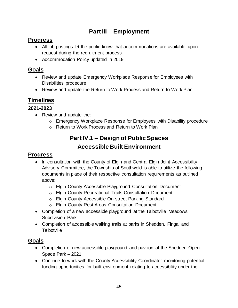# **Part III – Employment**

# **Progress**

- All job postings let the public know that accommodations are available upon request during the recruitment process
- Accommodation Policy updated in 2019

#### **Goals**

- Review and update Emergency Workplace Response for Employees with Disabilities procedure
- Review and update the Return to Work Process and Return to Work Plan

# **Timelines**

#### **2021-2023**

- Review and update the:
	- o Emergency Workplace Response for Employees with Disability procedure
	- o Return to Work Process and Return to Work Plan

# **Part IV.1 – Design of Public Spaces Accessible Built Environment**

#### **Progress**

- In consultation with the County of Elgin and Central Elgin Joint Accessibility Advisory Committee, the Township of Southwold is able to utilize the following documents in place of their respective consultation requirements as outlined above:
	- o Elgin County Accessible Playground Consultation Document
	- o Elgin County Recreational Trails Consultation Document
	- o Elgin County Accessible On-street Parking Standard
	- o Elgin County Rest Areas Consultation Document
- Completion of a new accessible playground at the Talbotville Meadows Subdivision Park
- Completion of accessible walking trails at parks in Shedden, Fingal and **Talbotville**

# **Goals**

- Completion of new accessible playground and pavilion at the Shedden Open Space Park – 2021
- Continue to work with the County Accessibility Coordinator monitoring potential funding opportunities for built environment relating to accessibility under the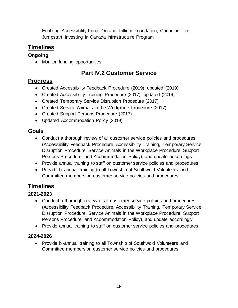Enabling Accessibility Fund, Ontario Trillium Foundation, Canadian Tire Jumpstart, Investing in Canada Infrastructure Program

# **Timelines**

### **Ongoing**

• Monitor funding opportunities

# **Part IV.2 Customer Service**

# **Progress**

- Created Accessibility Feedback Procedure (2019), updated (2019)
- Created Accessibility Training Procedure (2017), updated (2019)
- Created Temporary Service Disruption Procedure (2017)
- Created Service Animals in the Workplace Procedure (2017)
- Created Support Persons Procedure (2017)
- Updated Accommodation Policy (2019)

# **Goals**

- Conduct a thorough review of all customer service policies and procedures (Accessibility Feedback Procedure, Accessibility Training, Temporary Service Disruption Procedure, Service Animals in the Workplace Procedure, Support Persons Procedure, and Accommodation Policy), and update accordingly
- Provide annual training to staff on customer service policies and procedures
- Provide bi-annual training to all Township of Southwold Volunteers and Committee members on customer service policies and procedures

# **Timelines**

#### **2021-2023**

- Conduct a thorough review of all customer service policies and procedures (Accessibility Feedback Procedure, Accessibility Training, Temporary Service Disruption Procedure, Service Animals in the Workplace Procedure, Support Persons Procedure, and Accommodation Policy), and update accordingly.
- Provide annual training to staff on customer service policies and procedures

#### **2024-2026**

• Provide bi-annual training to all Township of Southwold Volunteers and Committee members on customer service policies and procedures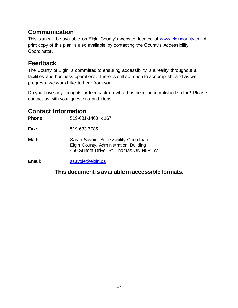# <span id="page-46-0"></span>**Communication**

This plan will be available on Elgin County's website, located at [www.elgincounty.ca](http://www.elgincounty.ca/)**.** A print copy of this plan is also available by contacting the County's Accessibility Coordinator.

# <span id="page-46-1"></span>**Feedback**

The County of Elgin is committed to ensuring accessibility is a reality throughout all facilities and business operations. There is still so much to accomplish, and as we progress, we would like to hear from you!

Do you have any thoughts or feedback on what has been accomplished so far? Please contact us with your questions and ideas.

# <span id="page-46-2"></span>**Contact Information**

**Phone:** 519-631-1460 x 167

**Fax:** 519-633-7785

**Mail:** Sarah Savoie, Accessibility Coordinator Elgin County, Administration Building 450 Sunset Drive, St. Thomas ON N5R 5V1

**Email:** [ssavoie@elgin.ca](mailto:ssavoie@elgin.ca)

#### **This document is available in accessible formats.**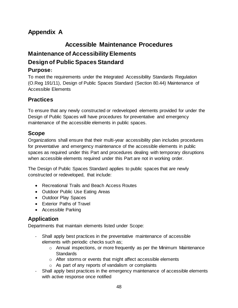# <span id="page-47-0"></span>**Appendix A**

# **Accessible Maintenance Procedures Maintenance of Accessibility Elements Design of Public Spaces Standard**

### **Purpose:**

To meet the requirements under the Integrated Accessibility Standards Regulation (O.Reg 191/11), Design of Public Spaces Standard (Section 80.44) Maintenance of Accessible Elements

#### **Practices**

To ensure that any newly constructed or redeveloped elements provided for under the Design of Public Spaces will have procedures for preventative and emergency maintenance of the accessible elements in public spaces.

#### **Scope**

Organizations shall ensure that their multi-year accessibility plan includes procedures for preventative and emergency maintenance of the accessible elements in public spaces as required under this Part and procedures dealing with temporary disruptions when accessible elements required under this Part are not in working order.

The Design of Public Spaces Standard applies to public spaces that are newly constructed or redeveloped, that include:

- Recreational Trails and Beach Access Routes
- Outdoor Public Use Eating Areas
- Outdoor Play Spaces
- Exterior Paths of Travel
- Accessible Parking

#### **Application**

Departments that maintain elements listed under Scope:

- Shall apply best practices in the preventative maintenance of accessible elements with periodic checks such as;
	- o Annual inspections, or more frequently as per the Minimum Maintenance **Standards**
	- o After storms or events that might affect accessible elements
	- o As part of any reports of vandalism or complaints
- Shall apply best practices in the emergency maintenance of accessible elements with active response once notified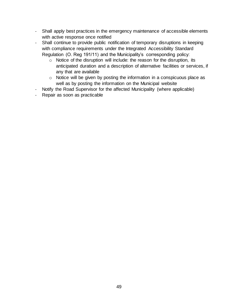- Shall apply best practices in the emergency maintenance of accessible elements with active response once notified
- Shall continue to provide public notification of temporary disruptions in keeping with compliance requirements under the Integrated Accessibility Standard Regulation (O. Reg 191/11) and the Municipality's corresponding policy:
	- o Notice of the disruption will include: the reason for the disruption, its anticipated duration and a description of alternative facilities or services, if any that are available
	- o Notice will be given by posting the information in a conspicuous place as well as by posting the information on the Municipal website
- Notify the Road Supervisor for the affected Municipality (where applicable)
- Repair as soon as practicable